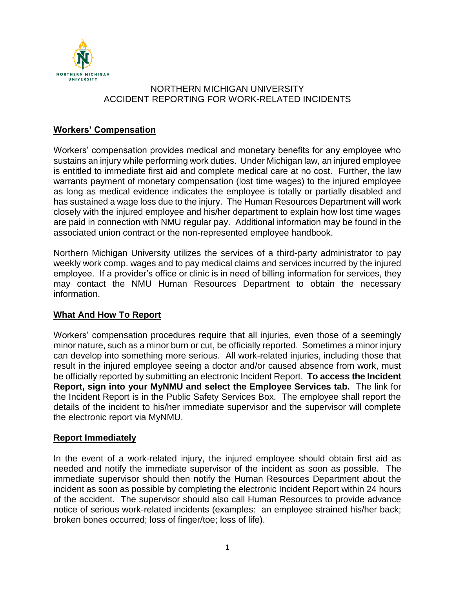

# NORTHERN MICHIGAN UNIVERSITY ACCIDENT REPORTING FOR WORK-RELATED INCIDENTS

## **Workers' Compensation**

Workers' compensation provides medical and monetary benefits for any employee who sustains an injury while performing work duties. Under Michigan law, an injured employee is entitled to immediate first aid and complete medical care at no cost. Further, the law warrants payment of monetary compensation (lost time wages) to the injured employee as long as medical evidence indicates the employee is totally or partially disabled and has sustained a wage loss due to the injury. The Human Resources Department will work closely with the injured employee and his/her department to explain how lost time wages are paid in connection with NMU regular pay. Additional information may be found in the associated union contract or the non-represented employee handbook.

Northern Michigan University utilizes the services of a third-party administrator to pay weekly work comp. wages and to pay medical claims and services incurred by the injured employee. If a provider's office or clinic is in need of billing information for services, they may contact the NMU Human Resources Department to obtain the necessary information.

## **What And How To Report**

Workers' compensation procedures require that all injuries, even those of a seemingly minor nature, such as a minor burn or cut, be officially reported. Sometimes a minor injury can develop into something more serious. All work-related injuries, including those that result in the injured employee seeing a doctor and/or caused absence from work, must be officially reported by submitting an electronic Incident Report. **To access the Incident Report, sign into your MyNMU and select the Employee Services tab.** The link for the Incident Report is in the Public Safety Services Box. The employee shall report the details of the incident to his/her immediate supervisor and the supervisor will complete the electronic report via MyNMU.

## **Report Immediately**

In the event of a work-related injury, the injured employee should obtain first aid as needed and notify the immediate supervisor of the incident as soon as possible. The immediate supervisor should then notify the Human Resources Department about the incident as soon as possible by completing the electronic Incident Report within 24 hours of the accident. The supervisor should also call Human Resources to provide advance notice of serious work-related incidents (examples: an employee strained his/her back; broken bones occurred; loss of finger/toe; loss of life).